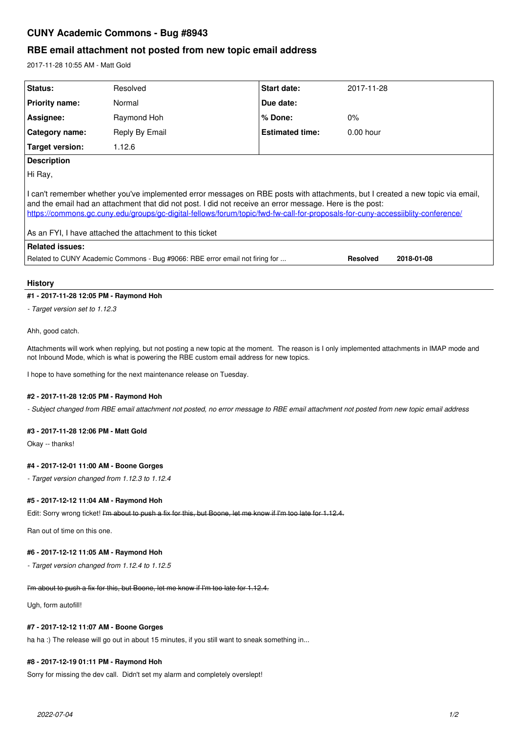# **CUNY Academic Commons - Bug #8943**

# **RBE email attachment not posted from new topic email address**

2017-11-28 10:55 AM - Matt Gold

| Status:                                                                                                                                                                                                                                                                                                                                                                                                                                  | Resolved       | Start date:            | 2017-11-28  |            |
|------------------------------------------------------------------------------------------------------------------------------------------------------------------------------------------------------------------------------------------------------------------------------------------------------------------------------------------------------------------------------------------------------------------------------------------|----------------|------------------------|-------------|------------|
| <b>Priority name:</b>                                                                                                                                                                                                                                                                                                                                                                                                                    | Normal         | Due date:              |             |            |
| Assignee:                                                                                                                                                                                                                                                                                                                                                                                                                                | Raymond Hoh    | % Done:                | $0\%$       |            |
| Category name:                                                                                                                                                                                                                                                                                                                                                                                                                           | Reply By Email | <b>Estimated time:</b> | $0.00$ hour |            |
| Target version:                                                                                                                                                                                                                                                                                                                                                                                                                          | 1.12.6         |                        |             |            |
| <b>Description</b>                                                                                                                                                                                                                                                                                                                                                                                                                       |                |                        |             |            |
| Hi Ray,                                                                                                                                                                                                                                                                                                                                                                                                                                  |                |                        |             |            |
| I can't remember whether you've implemented error messages on RBE posts with attachments, but I created a new topic via email,<br>and the email had an attachment that did not post. I did not receive an error message. Here is the post:<br>https://commons.gc.cuny.edu/groups/gc-digital-fellows/forum/topic/fwd-fw-call-for-proposals-for-cuny-accessiiblity-conference/<br>As an FYI, I have attached the attachment to this ticket |                |                        |             |            |
| <b>Related issues:</b>                                                                                                                                                                                                                                                                                                                                                                                                                   |                |                        |             |            |
| Related to CUNY Academic Commons - Bug #9066: RBE error email not firing for<br><b>Resolved</b>                                                                                                                                                                                                                                                                                                                                          |                |                        |             | 2018-01-08 |

# **History**

# **#1 - 2017-11-28 12:05 PM - Raymond Hoh**

*- Target version set to 1.12.3*

Ahh, good catch.

Attachments will work when replying, but not posting a new topic at the moment. The reason is I only implemented attachments in IMAP mode and not Inbound Mode, which is what is powering the RBE custom email address for new topics.

I hope to have something for the next maintenance release on Tuesday.

# **#2 - 2017-11-28 12:05 PM - Raymond Hoh**

*- Subject changed from RBE email attachment not posted, no error message to RBE email attachment not posted from new topic email address*

#### **#3 - 2017-11-28 12:06 PM - Matt Gold**

Okay -- thanks!

#### **#4 - 2017-12-01 11:00 AM - Boone Gorges**

*- Target version changed from 1.12.3 to 1.12.4*

#### **#5 - 2017-12-12 11:04 AM - Raymond Hoh**

Edit: Sorry wrong ticket! I'm about to push a fix for this, but Boone, let me know if I'm too late for 1.12.4.

Ran out of time on this one.

#### **#6 - 2017-12-12 11:05 AM - Raymond Hoh**

*- Target version changed from 1.12.4 to 1.12.5*

#### I'm about to push a fix for this, but Boone, let me know if I'm too late for 1.12.4.

Ugh, form autofill!

### **#7 - 2017-12-12 11:07 AM - Boone Gorges**

ha ha :) The release will go out in about 15 minutes, if you still want to sneak something in...

#### **#8 - 2017-12-19 01:11 PM - Raymond Hoh**

Sorry for missing the dev call. Didn't set my alarm and completely overslept!